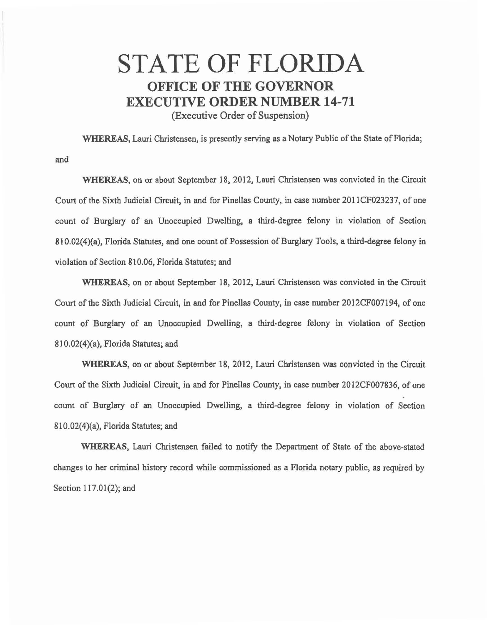## STATE OF FLORIDA OFFICE OF THE GOVERNOR EXECUTIVE ORDER NUMBER 14-71

(Executive Order of Suspension)

WHEREAS, Lauri Christensen, is presently serving as a Notary Public of the State of Florida;

and

WHEREAS, on or about September 18, 2012, Lauri Christensen was convicted in the Circuit Court of the Sixth Judicial Circuit, in and for Pinellas County, in case number 2011CF023237, of one count of Burglary of an Unoccupied Dwelling, a third-degree felony in violation of Section 810.02(4)(a), Florida Statutes, and one count of Possession of Burglary Tools, a third-degree felony in violation of Section 810.06, Florida Statutes; and

WHEREAS, on or about September 18, 2012, Lauri Christensen was convicted in the Circuit Court of the Sixth Judicial Circuit, in and for Pinellas County, in case number 2012CF007194, of one count of Burglary of an Unoccupied Dwelling, a third-degree felony in violation of Section 810.02(4)(a), Florida Statutes; and

WHEREAS, on or about September 18, 2012, Lauri Christensen was convicted in the Circuit Court of the Sixth Judicial Circuit, in and for Pinellas County, in case number 2012CF007836, of one count of Burglary of an Unoccupied Dwelling, a third-degree felony in violation of Section 810.02(4)(a), Florida Statutes; and

WHEREAS, Lauri Christensen failed to notify the Department of State of the above-stated changes to her criminal history record while commissioned as a Florida notary public, as required by Section 117.01(2); and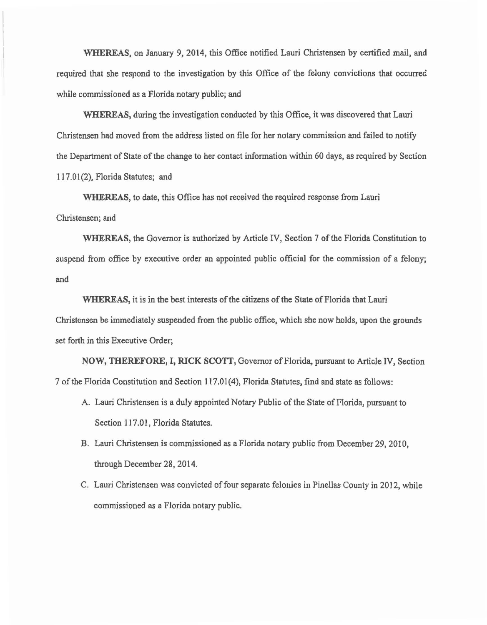WHEREAS, on January 9, 2014, this Office notified Lauri Christensen by certified mail, and required that she respond to the investigation by this Office of the felony convictions that occurred while commissioned as a Florida notary public; and

WHEREAS, during the investigation conducted by this Office, it was discovered that Lauri Christensen had moved from the address listed on file for her notary commission and failed to notify the Department of State of the change to her contact information within 60 days, as required by Section 117.01(2), Florida Statutes; and

WHEREAS, to date, this Office has not received the required response from Lauri Christensen; and

WHEREAS, the Governor is authorized by Article IV, Section 7 of the Florida Constitution to suspend from office by executive order an appointed public official for the commission of a felony; and

WHEREAS, it is in the best interests of the citizens of the State of Florida that Lauri Christensen be immediately suspended from the public office, which she now holds, upon the grounds set forth in this Executive Order;

NOW, THEREFORE, I, RICK SCOTT, Governor of Florida, pursuant to Article IV, Section 7 of the Florida Constitution and Section 117.01 (4), Florida Statutes, find and state as follows:

- A. Lauri Christensen is a duly appointed Notary Public of the State of Florida, pursuant to Section 117.01, Florida Statutes.
- B. Lauri Christensen is commissioned as a Florida notary public from December 29, 2010, through December 28, 2014.
- C. Lauri Christensen was convicted of four separate felonies in Pinellas County in 2012, while commissioned as a Florida notary public.